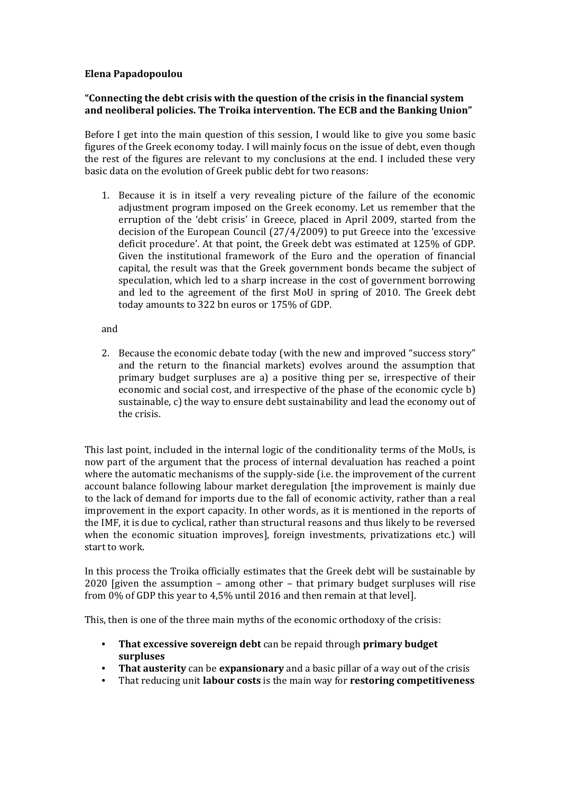# **Elena Papadopoulou**

# **"Connecting the debt crisis with the question of the crisis in the financial system and neoliberal policies. The Troika intervention. The ECB and the Banking Union"**

Before I get into the main question of this session, I would like to give you some basic figures of the Greek economy today. I will mainly focus on the issue of debt, even though the rest of the figures are relevant to my conclusions at the end. I included these very basic data on the evolution of Greek public debt for two reasons:

1. Because it is in itself a very revealing picture of the failure of the economic adjustment program imposed on the Greek economy. Let us remember that the erruption of the 'debt crisis' in Greece, placed in April 2009, started from the decision of the European Council  $(27/4/2009)$  to put Greece into the 'excessive deficit procedure'. At that point, the Greek debt was estimated at 125% of GDP. Given the institutional framework of the Euro and the operation of financial capital, the result was that the Greek government bonds became the subject of speculation, which led to a sharp increase in the cost of government borrowing and led to the agreement of the first MoU in spring of 2010. The Greek debt today amounts to 322 bn euros or 175% of GDP.

#### and

2. Because the economic debate today (with the new and improved "success story" and the return to the financial markets) evolves around the assumption that primary budget surpluses are a) a positive thing per se, irrespective of their economic and social cost, and irrespective of the phase of the economic cycle b) sustainable, c) the way to ensure debt sustainability and lead the economy out of the crisis.

This last point, included in the internal logic of the conditionality terms of the MoUs, is now part of the argument that the process of internal devaluation has reached a point where the automatic mechanisms of the supply-side (i.e. the improvement of the current account balance following labour market deregulation [the improvement is mainly due to the lack of demand for imports due to the fall of economic activity, rather than a real improvement in the export capacity. In other words, as it is mentioned in the reports of the IMF, it is due to cyclical, rather than structural reasons and thus likely to be reversed when the economic situation improves], foreign investments, privatizations etc.) will start to work.

In this process the Troika officially estimates that the Greek debt will be sustainable by  $2020$  [given the assumption – among other – that primary budget surpluses will rise from  $0\%$  of GDP this year to 4,5% until 2016 and then remain at that level].

This, then is one of the three main myths of the economic orthodoxy of the crisis:

- **That excessive sovereign debt** can be repaid through **primary budget surpluses**
- **That austerity** can be **expansionary** and a basic pillar of a way out of the crisis
- That reducing unit **labour costs** is the main way for **restoring competitiveness**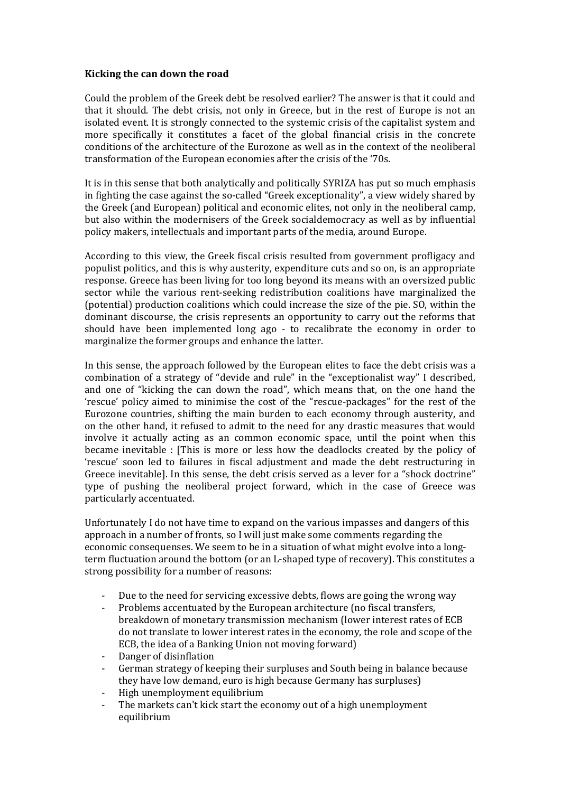## **Kicking the can down the road**

Could the problem of the Greek debt be resolved earlier? The answer is that it could and that it should. The debt crisis, not only in Greece, but in the rest of Europe is not an isolated event. It is strongly connected to the systemic crisis of the capitalist system and more specifically it constitutes a facet of the global financial crisis in the concrete conditions of the architecture of the Eurozone as well as in the context of the neoliberal transformation of the European economies after the crisis of the '70s.

It is in this sense that both analytically and politically SYRIZA has put so much emphasis in fighting the case against the so-called "Greek exceptionality", a view widely shared by the Greek (and European) political and economic elites, not only in the neoliberal camp, but also within the modernisers of the Greek socialdemocracy as well as by influential policy makers, intellectuals and important parts of the media, around Europe.

According to this view, the Greek fiscal crisis resulted from government profligacy and populist politics, and this is why austerity, expenditure cuts and so on, is an appropriate response. Greece has been living for too long beyond its means with an oversized public sector while the various rent-seeking redistribution coalitions have marginalized the (potential) production coalitions which could increase the size of the pie. SO, within the dominant discourse, the crisis represents an opportunity to carry out the reforms that should have been implemented long ago - to recalibrate the economy in order to marginalize the former groups and enhance the latter.

In this sense, the approach followed by the European elites to face the debt crisis was a combination of a strategy of "devide and rule" in the "exceptionalist way" I described, and one of "kicking the can down the road", which means that, on the one hand the 'rescue' policy aimed to minimise the cost of the "rescue-packages" for the rest of the Eurozone countries, shifting the main burden to each economy through austerity, and on the other hand, it refused to admit to the need for any drastic measures that would involve it actually acting as an common economic space, until the point when this became inevitable : [This is more or less how the deadlocks created by the policy of 'rescue' soon led to failures in fiscal adjustment and made the debt restructuring in Greece inevitablel. In this sense, the debt crisis served as a lever for a "shock doctrine" type of pushing the neoliberal project forward, which in the case of Greece was particularly accentuated.

Unfortunately I do not have time to expand on the various impasses and dangers of this approach in a number of fronts, so I will just make some comments regarding the economic consequenses. We seem to be in a situation of what might evolve into a longterm fluctuation around the bottom (or an L-shaped type of recovery). This constitutes a strong possibility for a number of reasons:

- Due to the need for servicing excessive debts, flows are going the wrong way
- Problems accentuated by the European architecture (no fiscal transfers, breakdown of monetary transmission mechanism (lower interest rates of ECB do not translate to lower interest rates in the economy, the role and scope of the ECB, the idea of a Banking Union not moving forward)
- Danger of disinflation
- German strategy of keeping their surpluses and South being in balance because they have low demand, euro is high because Germany has surpluses)
- High unemployment equilibrium
- The markets can't kick start the economy out of a high unemployment equilibrium